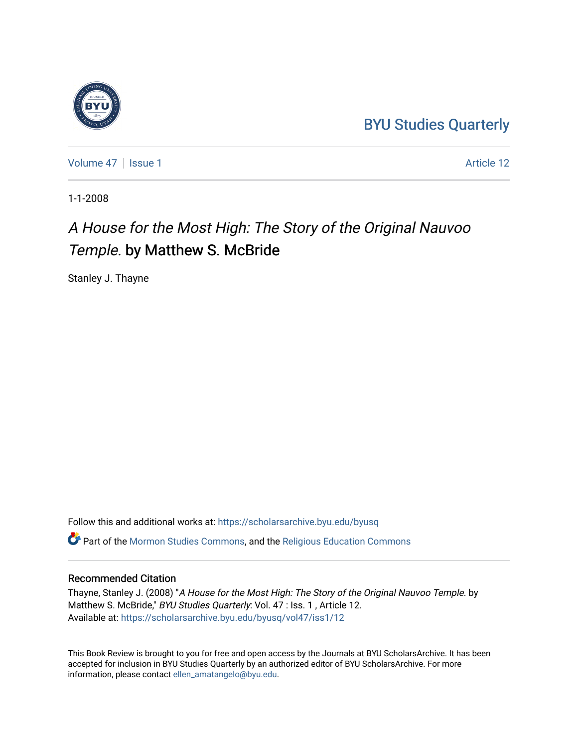## [BYU Studies Quarterly](https://scholarsarchive.byu.edu/byusq)

[Volume 47](https://scholarsarchive.byu.edu/byusq/vol47) | [Issue 1](https://scholarsarchive.byu.edu/byusq/vol47/iss1) Article 12

1-1-2008

## A House for the Most High: The Story of the Original Nauvoo Temple. by Matthew S. McBride

Stanley J. Thayne

Follow this and additional works at: [https://scholarsarchive.byu.edu/byusq](https://scholarsarchive.byu.edu/byusq?utm_source=scholarsarchive.byu.edu%2Fbyusq%2Fvol47%2Fiss1%2F12&utm_medium=PDF&utm_campaign=PDFCoverPages)  Part of the [Mormon Studies Commons](http://network.bepress.com/hgg/discipline/1360?utm_source=scholarsarchive.byu.edu%2Fbyusq%2Fvol47%2Fiss1%2F12&utm_medium=PDF&utm_campaign=PDFCoverPages), and the [Religious Education Commons](http://network.bepress.com/hgg/discipline/1414?utm_source=scholarsarchive.byu.edu%2Fbyusq%2Fvol47%2Fiss1%2F12&utm_medium=PDF&utm_campaign=PDFCoverPages) 

## Recommended Citation

Thayne, Stanley J. (2008) "A House for the Most High: The Story of the Original Nauvoo Temple. by Matthew S. McBride," BYU Studies Quarterly: Vol. 47 : Iss. 1, Article 12. Available at: [https://scholarsarchive.byu.edu/byusq/vol47/iss1/12](https://scholarsarchive.byu.edu/byusq/vol47/iss1/12?utm_source=scholarsarchive.byu.edu%2Fbyusq%2Fvol47%2Fiss1%2F12&utm_medium=PDF&utm_campaign=PDFCoverPages) 

This Book Review is brought to you for free and open access by the Journals at BYU ScholarsArchive. It has been accepted for inclusion in BYU Studies Quarterly by an authorized editor of BYU ScholarsArchive. For more information, please contact [ellen\\_amatangelo@byu.edu.](mailto:ellen_amatangelo@byu.edu)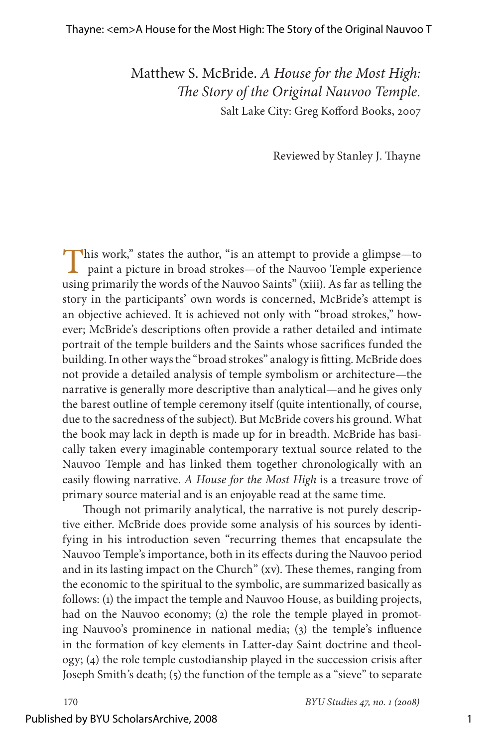Matthew S. McBride. *A House for the Most High: The Story of the Original Nauvoo Temple.* Salt Lake City: Greg Kofford Books, 2007

Reviewed by Stanley J. Thayne

This work," states the author, "is an attempt to provide a glimpse—to paint a picture in broad strokes—of the Nauvoo Temple experience using primarily the words of the Nauvoo Saints" (xiii). As far as telling the story in the participants' own words is concerned, McBride's attempt is an objective achieved. It is achieved not only with "broad strokes," however; McBride's descriptions often provide a rather detailed and intimate portrait of the temple builders and the Saints whose sacrifices funded the building. In other ways the "broad strokes" analogy is fitting. McBride does not provide a detailed analysis of temple symbolism or architecture—the narrative is generally more descriptive than analytical—and he gives only the barest outline of temple ceremony itself (quite intentionally, of course, due to the sacredness of the subject). But McBride covers his ground. What the book may lack in depth is made up for in breadth. McBride has basically taken every imaginable contemporary textual source related to the Nauvoo Temple and has linked them together chronologically with an easily flowing narrative. *A House for the Most High* is a treasure trove of primary source material and is an enjoyable read at the same time.

Though not primarily analytical, the narrative is not purely descriptive either. McBride does provide some analysis of his sources by identifying in his introduction seven "recurring themes that encapsulate the Nauvoo Temple's importance, both in its effects during the Nauvoo period and in its lasting impact on the Church" (xv). These themes, ranging from the economic to the spiritual to the symbolic, are summarized basically as follows: (1) the impact the temple and Nauvoo House, as building projects, had on the Nauvoo economy; (2) the role the temple played in promoting Nauvoo's prominence in national media; (3) the temple's influence in the formation of key elements in Latter-day Saint doctrine and theology; (4) the role temple custodianship played in the succession crisis after Joseph Smith's death; (5) the function of the temple as a "sieve" to separate

170 *BYU Studies 7, no. 1 (2008)*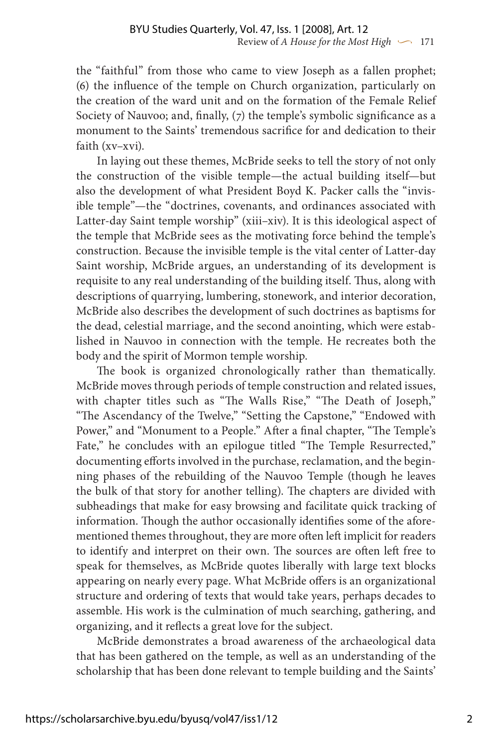the "faithful" from those who came to view Joseph as a fallen prophet; (6) the influence of the temple on Church organization, particularly on the creation of the ward unit and on the formation of the Female Relief Society of Nauvoo; and, finally, (7) the temple's symbolic significance as a monument to the Saints' tremendous sacrifice for and dedication to their faith (xv–xvi).

In laying out these themes, McBride seeks to tell the story of not only the construction of the visible temple—the actual building itself—but also the development of what President Boyd K. Packer calls the "invisible temple"—the "doctrines, covenants, and ordinances associated with Latter-day Saint temple worship" (xiii–xiv). It is this ideological aspect of the temple that McBride sees as the motivating force behind the temple's construction. Because the invisible temple is the vital center of Latter-day Saint worship, McBride argues, an understanding of its development is requisite to any real understanding of the building itself. Thus, along with descriptions of quarrying, lumbering, stonework, and interior decoration, McBride also describes the development of such doctrines as baptisms for the dead, celestial marriage, and the second anointing, which were established in Nauvoo in connection with the temple. He recreates both the body and the spirit of Mormon temple worship.

The book is organized chronologically rather than thematically. McBride moves through periods of temple construction and related issues, with chapter titles such as "The Walls Rise," "The Death of Joseph," "The Ascendancy of the Twelve," "Setting the Capstone," "Endowed with Power," and "Monument to a People." After a final chapter, "The Temple's Fate," he concludes with an epilogue titled "The Temple Resurrected," documenting efforts involved in the purchase, reclamation, and the beginning phases of the rebuilding of the Nauvoo Temple (though he leaves the bulk of that story for another telling). The chapters are divided with subheadings that make for easy browsing and facilitate quick tracking of information. Though the author occasionally identifies some of the aforementioned themes throughout, they are more often left implicit for readers to identify and interpret on their own. The sources are often left free to speak for themselves, as McBride quotes liberally with large text blocks appearing on nearly every page. What McBride offers is an organizational structure and ordering of texts that would take years, perhaps decades to assemble. His work is the culmination of much searching, gathering, and organizing, and it reflects a great love for the subject.

McBride demonstrates a broad awareness of the archaeological data that has been gathered on the temple, as well as an understanding of the scholarship that has been done relevant to temple building and the Saints'